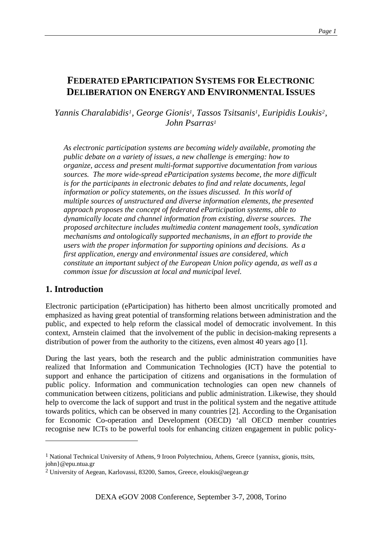# **FEDERATED EPARTICIPATION SYSTEMS FOR ELECTRONIC DELIBERATION ON ENERGY AND ENVIRONMENTAL ISSUES**

*Yannis Charalabidis[1](#page-0-0), George Gionis1, Tassos Tsitsanis1, Euripidis Loukis[2](#page-0-1), John Psarras1*

*As electronic participation systems are becoming widely available, promoting the public debate on a variety of issues, a new challenge is emerging: how to organize, access and present multi-format supportive documentation from various sources. The more wide-spread eParticipation systems become, the more difficult is for the participants in electronic debates to find and relate documents, legal information or policy statements, on the issues discussed. In this world of multiple sources of unstructured and diverse information elements, the presented approach proposes the concept of federated eParticipation systems, able to dynamically locate and channel information from existing, diverse sources. The proposed architecture includes multimedia content management tools, syndication mechanisms and ontologically supported mechanisms, in an effort to provide the users with the proper information for supporting opinions and decisions. As a first application, energy and environmental issues are considered, which constitute an important subject of the European Union policy agenda, as well as a common issue for discussion at local and municipal level.* 

### **1. Introduction**

1

Electronic participation (eParticipation) has hitherto been almost uncritically promoted and emphasized as having great potential of transforming relations between administration and the public, and expected to help reform the classical model of democratic involvement. In this context, Arnstein claimed that the involvement of the public in decision-making represents a distribution of power from the authority to the citizens, even almost 40 years ago [1].

During the last years, both the research and the public administration communities have realized that Information and Communication Technologies (ICT) have the potential to support and enhance the participation of citizens and organisations in the formulation of public policy. Information and communication technologies can open new channels of communication between citizens, politicians and public administration. Likewise, they should help to overcome the lack of support and trust in the political system and the negative attitude towards politics, which can be observed in many countries [2]. According to the Organisation for Economic Co-operation and Development (OECD) 'all OECD member countries recognise new ICTs to be powerful tools for enhancing citizen engagement in public policy-

<span id="page-0-0"></span><sup>&</sup>lt;sup>1</sup> National Technical University of Athens, 9 Iroon Polytechniou, Athens, Greece {yannisx, gionis, ttsits, [john}@epu.ntua.gr](mailto:john%7D@epu.ntua.gr) 

<span id="page-0-1"></span><sup>2</sup> University of Aegean, Karlovassi, 83200, Samos, Greece, [eloukis@aegean.gr](mailto:eloukis@aegean.gr)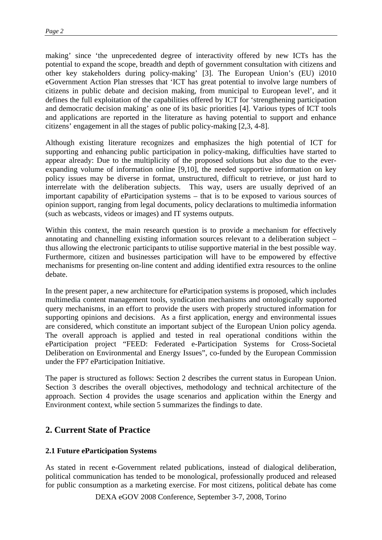making' since 'the unprecedented degree of interactivity offered by new ICTs has the potential to expand the scope, breadth and depth of government consultation with citizens and other key stakeholders during policy-making' [3]. The European Union's (EU) i2010 eGovernment Action Plan stresses that 'ICT has great potential to involve large numbers of citizens in public debate and decision making, from municipal to European level', and it defines the full exploitation of the capabilities offered by ICT for 'strengthening participation and democratic decision making' as one of its basic priorities [4]. Various types of ICT tools and applications are reported in the literature as having potential to support and enhance citizens' engagement in all the stages of public policy-making [2,3, 4-8].

Although existing literature recognizes and emphasizes the high potential of ICT for supporting and enhancing public participation in policy-making, difficulties have started to appear already: Due to the multiplicity of the proposed solutions but also due to the everexpanding volume of information online [9,10], the needed supportive information on key policy issues may be diverse in format, unstructured, difficult to retrieve, or just hard to interrelate with the deliberation subjects. This way, users are usually deprived of an important capability of eParticipation systems – that is to be exposed to various sources of opinion support, ranging from legal documents, policy declarations to multimedia information (such as webcasts, videos or images) and IT systems outputs.

Within this context, the main research question is to provide a mechanism for effectively annotating and channelling existing information sources relevant to a deliberation subject – thus allowing the electronic participants to utilise supportive material in the best possible way. Furthermore, citizen and businesses participation will have to be empowered by effective mechanisms for presenting on-line content and adding identified extra resources to the online debate.

In the present paper, a new architecture for eParticipation systems is proposed, which includes multimedia content management tools, syndication mechanisms and ontologically supported query mechanisms, in an effort to provide the users with properly structured information for supporting opinions and decisions. As a first application, energy and environmental issues are considered, which constitute an important subject of the European Union policy agenda. The overall approach is applied and tested in real operational conditions within the eParticipation project "FEED: Federated e-Participation Systems for Cross-Societal Deliberation on Environmental and Energy Issues", co-funded by the European Commission under the FP7 eParticipation Initiative.

The paper is structured as follows: Section 2 describes the current status in European Union. Section 3 describes the overall objectives, methodology and technical architecture of the approach. Section 4 provides the usage scenarios and application within the Energy and Environment context, while section 5 summarizes the findings to date.

### **2. Current State of Practice**

### **2.1 Future eParticipation Systems**

As stated in recent e-Government related publications, instead of dialogical deliberation, political communication has tended to be monological, professionally produced and released for public consumption as a marketing exercise. For most citizens, political debate has come

DEXA eGOV 2008 Conference, September 3-7, 2008, Torino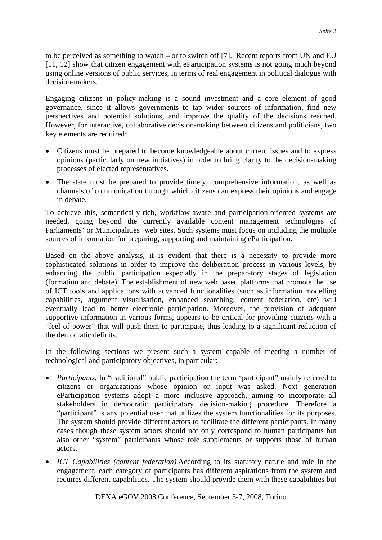to be perceived as something to watch – or to switch off [7]. Recent reports from UN and EU [11, 12] show that citizen engagement with eParticipation systems is not going much beyond using online versions of public services, in terms of real engagement in political dialogue with decision-makers.

Engaging citizens in policy-making is a sound investment and a core element of good governance, since it allows governments to tap wider sources of information, find new perspectives and potential solutions, and improve the quality of the decisions reached. However, for interactive, collaborative decision-making between citizens and politicians, two key elements are required:

- Citizens must be prepared to become knowledgeable about current issues and to express opinions (particularly on new initiatives) in order to bring clarity to the decision-making processes of elected representatives.
- The state must be prepared to provide timely, comprehensive information, as well as channels of communication through which citizens can express their opinions and engage in debate.

To achieve this, semantically-rich, workflow-aware and participation-oriented systems are needed, going beyond the currently available content management technologies of Parliaments' or Municipalities' web sites. Such systems must focus on including the multiple sources of information for preparing, supporting and maintaining eParticipation.

Based on the above analysis, it is evident that there is a necessity to provide more sophisticated solutions in order to improve the deliberation process in various levels, by enhancing the public participation especially in the preparatory stages of legislation (formation and debate). The establishment of new web based platforms that promote the use of ICT tools and applications with advanced functionalities (such as information modelling capabilities, argument visualisation, enhanced searching, content federation, etc) will eventually lead to better electronic participation. Moreover, the provision of adequate supportive information in various forms, appears to be critical for providing citizens with a "feel of power" that will push them to participate, thus leading to a significant reduction of the democratic deficits.

In the following sections we present such a system capable of meeting a number of technological and participatory objectives, in particular:

- *Participants.* In "traditional" public participation the term "participant" mainly referred to citizens or organizations whose opinion or input was asked. Next generation eParticipation systems adopt a more inclusive approach, aiming to incorporate all stakeholders in democratic participatory decision-making procedure. Therefore a "participant" is any potential user that utilizes the system functionalities for its purposes. The system should provide different actors to facilitate the different participants. In many cases though these system actors should not only correspond to human participants but also other "system" participants whose role supplements or supports those of human actors.
- *ICT Capabilities (content federation).*According to its statutory nature and role in the engagement, each category of participants has different aspirations from the system and requires different capabilities. The system should provide them with these capabilities but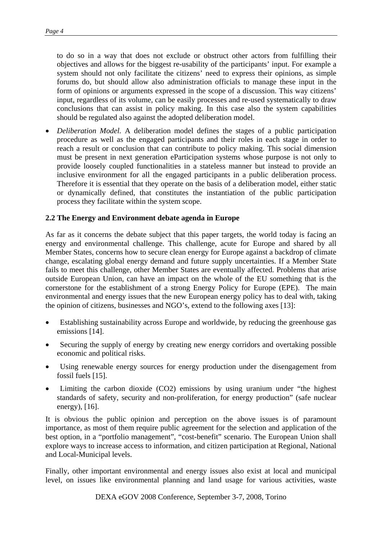to do so in a way that does not exclude or obstruct other actors from fulfilling their objectives and allows for the biggest re-usability of the participants' input. For example a system should not only facilitate the citizens' need to express their opinions, as simple forums do, but should allow also administration officials to manage these input in the form of opinions or arguments expressed in the scope of a discussion. This way citizens' input, regardless of its volume, can be easily processes and re-used systematically to draw conclusions that can assist in policy making. In this case also the system capabilities should be regulated also against the adopted deliberation model.

• *Deliberation Model.* A deliberation model defines the stages of a public participation procedure as well as the engaged participants and their roles in each stage in order to reach a result or conclusion that can contribute to policy making. This social dimension must be present in next generation eParticipation systems whose purpose is not only to provide loosely coupled functionalities in a stateless manner but instead to provide an inclusive environment for all the engaged participants in a public deliberation process. Therefore it is essential that they operate on the basis of a deliberation model, either static or dynamically defined, that constitutes the instantiation of the public participation process they facilitate within the system scope.

#### **2.2 The Energy and Environment debate agenda in Europe**

As far as it concerns the debate subject that this paper targets, the world today is facing an energy and environmental challenge. This challenge, acute for Europe and shared by all Member States, concerns how to secure clean energy for Europe against a backdrop of climate change, escalating global energy demand and future supply uncertainties. If a Member State fails to meet this challenge, other Member States are eventually affected. Problems that arise outside European Union, can have an impact on the whole of the EU something that is the cornerstone for the establishment of a strong Energy Policy for Europe (EPE). The main environmental and energy issues that the new European energy policy has to deal with, taking the opinion of citizens, businesses and NGO's, extend to the following axes [13]:

- Establishing sustainability across Europe and worldwide, by reducing the greenhouse gas emissions [14].
- Securing the supply of energy by creating new energy corridors and overtaking possible economic and political risks.
- Using renewable energy sources for energy production under the disengagement from fossil fuels [15].
- Limiting the carbon dioxide (CO2) emissions by using uranium under "the highest standards of safety, security and non-proliferation, for energy production" (safe nuclear energy), [16].

It is obvious the public opinion and perception on the above issues is of paramount importance, as most of them require public agreement for the selection and application of the best option, in a "portfolio management", "cost-benefit" scenario. The European Union shall explore ways to increase access to information, and citizen participation at Regional, National and Local-Municipal levels.

Finally, other important environmental and energy issues also exist at local and municipal level, on issues like environmental planning and land usage for various activities, waste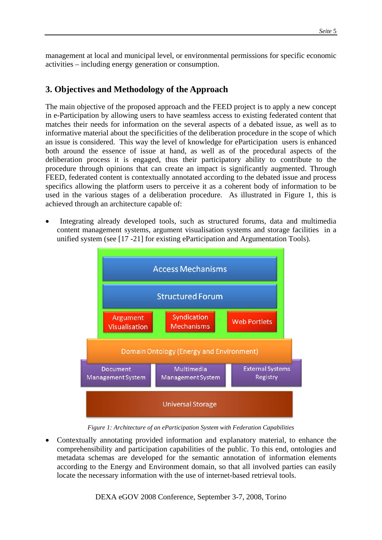management at local and municipal level, or environmental permissions for specific economic activities – including energy generation or consumption.

## **3. Objectives and Methodology of the Approach**

The main objective of the proposed approach and the FEED project is to apply a new concept in e-Participation by allowing users to have seamless access to existing federated content that matches their needs for information on the several aspects of a debated issue, as well as to informative material about the specificities of the deliberation procedure in the scope of which an issue is considered. This way the level of knowledge for eParticipation users is enhanced both around the essence of issue at hand, as well as of the procedural aspects of the deliberation process it is engaged, thus their participatory ability to contribute to the procedure through opinions that can create an impact is significantly augmented. Through FEED, federated content is contextually annotated according to the debated issue and process specifics allowing the platform users to perceive it as a coherent body of information to be used in the various stages of a deliberation procedure. As illustrated in Figure 1, this is achieved through an architecture capable of:

• Integrating already developed tools, such as structured forums, data and multimedia content management systems, argument visualisation systems and storage facilities in a unified system (see [17 -21] for existing eParticipation and Argumentation Tools).



*Figure 1: Architecture of an eParticipation System with Federation Capabilities* 

• Contextually annotating provided information and explanatory material, to enhance the comprehensibility and participation capabilities of the public. To this end, ontologies and metadata schemas are developed for the semantic annotation of information elements according to the Energy and Environment domain, so that all involved parties can easily locate the necessary information with the use of internet-based retrieval tools.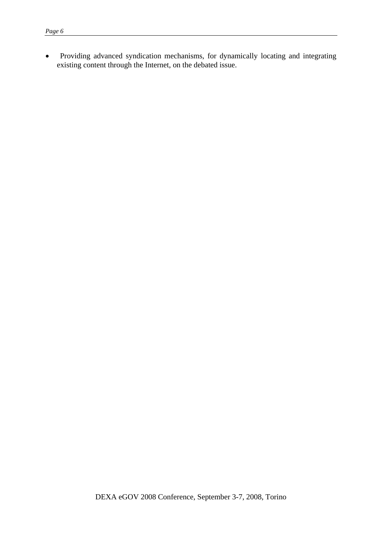• Providing advanced syndication mechanisms, for dynamically locating and integrating existing content through the Internet, on the debated issue.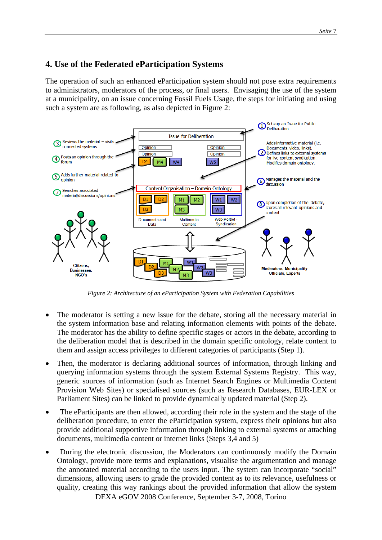## **4. Use of the Federated eParticipation Systems**

The operation of such an enhanced eParticipation system should not pose extra requirements to administrators, moderators of the process, or final users. Envisaging the use of the system at a municipality, on an issue concerning Fossil Fuels Usage, the steps for initiating and using such a system are as following, as also depicted in Figure 2:



*Figure 2: Architecture of an eParticipation System with Federation Capabilities* 

- The moderator is setting a new issue for the debate, storing all the necessary material in the system information base and relating information elements with points of the debate. The moderator has the ability to define specific stages or actors in the debate, according to the deliberation model that is described in the domain specific ontology, relate content to them and assign access privileges to different categories of participants (Step 1).
- Then, the moderator is declaring additional sources of information, through linking and querying information systems through the system External Systems Registry. This way, generic sources of information (such as Internet Search Engines or Multimedia Content Provision Web Sites) or specialised sources (such as Research Databases, EUR-LEX or Parliament Sites) can be linked to provide dynamically updated material (Step 2).
- The eParticipants are then allowed, according their role in the system and the stage of the deliberation procedure, to enter the eParticipation system, express their opinions but also provide additional supportive information through linking to external systems or attaching documents, multimedia content or internet links (Steps 3,4 and 5)
- DEXA eGOV 2008 Conference, September 3-7, 2008, Torino • During the electronic discussion, the Moderators can continuously modify the Domain Ontology, provide more terms and explanations, visualise the argumentation and manage the annotated material according to the users input. The system can incorporate "social" dimensions, allowing users to grade the provided content as to its relevance, usefulness or quality, creating this way rankings about the provided information that allow the system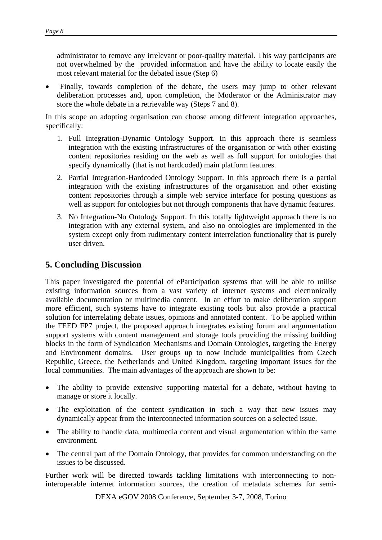administrator to remove any irrelevant or poor-quality material. This way participants are not overwhelmed by the provided information and have the ability to locate easily the most relevant material for the debated issue (Step 6)

• Finally, towards completion of the debate, the users may jump to other relevant deliberation processes and, upon completion, the Moderator or the Administrator may store the whole debate in a retrievable way (Steps 7 and 8).

In this scope an adopting organisation can choose among different integration approaches, specifically:

- 1. Full Integration-Dynamic Ontology Support. In this approach there is seamless integration with the existing infrastructures of the organisation or with other existing content repositories residing on the web as well as full support for ontologies that specify dynamically (that is not hardcoded) main platform features.
- 2. Partial Integration-Hardcoded Ontology Support. In this approach there is a partial integration with the existing infrastructures of the organisation and other existing content repositories through a simple web service interface for posting questions as well as support for ontologies but not through components that have dynamic features.
- 3. No Integration-No Ontology Support. In this totally lightweight approach there is no integration with any external system, and also no ontologies are implemented in the system except only from rudimentary content interrelation functionality that is purely user driven.

### **5. Concluding Discussion**

This paper investigated the potential of eParticipation systems that will be able to utilise existing information sources from a vast variety of internet systems and electronically available documentation or multimedia content. In an effort to make deliberation support more efficient, such systems have to integrate existing tools but also provide a practical solution for interrelating debate issues, opinions and annotated content. To be applied within the FEED FP7 project, the proposed approach integrates existing forum and argumentation support systems with content management and storage tools providing the missing building blocks in the form of Syndication Mechanisms and Domain Ontologies, targeting the Energy and Environment domains. User groups up to now include municipalities from Czech Republic, Greece, the Netherlands and United Kingdom, targeting important issues for the local communities. The main advantages of the approach are shown to be:

- The ability to provide extensive supporting material for a debate, without having to manage or store it locally.
- The exploitation of the content syndication in such a way that new issues may dynamically appear from the interconnected information sources on a selected issue.
- The ability to handle data, multimedia content and visual argumentation within the same environment.
- The central part of the Domain Ontology, that provides for common understanding on the issues to be discussed.

Further work will be directed towards tackling limitations with interconnecting to noninteroperable internet information sources, the creation of metadata schemes for semi-

DEXA eGOV 2008 Conference, September 3-7, 2008, Torino